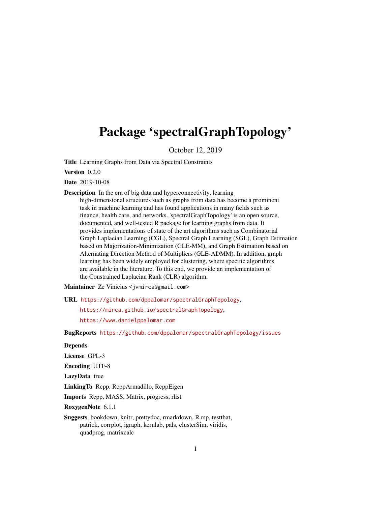# Package 'spectralGraphTopology'

October 12, 2019

Title Learning Graphs from Data via Spectral Constraints

Version 0.2.0

Date 2019-10-08

Description In the era of big data and hyperconnectivity, learning high-dimensional structures such as graphs from data has become a prominent

task in machine learning and has found applications in many fields such as finance, health care, and networks. 'spectralGraphTopology' is an open source, documented, and well-tested R package for learning graphs from data. It provides implementations of state of the art algorithms such as Combinatorial Graph Laplacian Learning (CGL), Spectral Graph Learning (SGL), Graph Estimation based on Majorization-Minimization (GLE-MM), and Graph Estimation based on Alternating Direction Method of Multipliers (GLE-ADMM). In addition, graph learning has been widely employed for clustering, where specific algorithms are available in the literature. To this end, we provide an implementation of the Constrained Laplacian Rank (CLR) algorithm.

Maintainer Ze Vinicius <jvmirca@gmail.com>

URL <https://github.com/dppalomar/spectralGraphTopology>,

<https://mirca.github.io/spectralGraphTopology>,

<https://www.danielppalomar.com>

BugReports <https://github.com/dppalomar/spectralGraphTopology/issues>

#### **Depends**

License GPL-3

Encoding UTF-8

LazyData true

LinkingTo Rcpp, RcppArmadillo, RcppEigen

Imports Rcpp, MASS, Matrix, progress, rlist

RoxygenNote 6.1.1

Suggests bookdown, knitr, prettydoc, rmarkdown, R.rsp, testthat, patrick, corrplot, igraph, kernlab, pals, clusterSim, viridis, quadprog, matrixcalc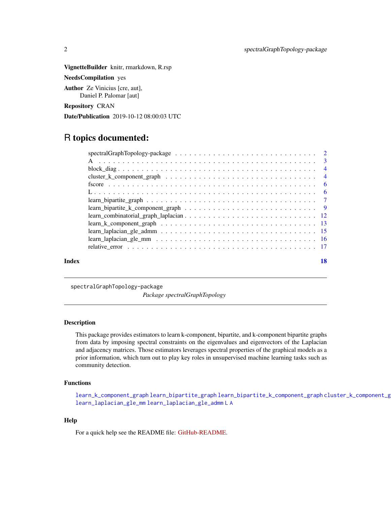<span id="page-1-0"></span>VignetteBuilder knitr, rmarkdown, R.rsp

NeedsCompilation yes

Author Ze Vinicius [cre, aut], Daniel P. Palomar [aut]

Repository CRAN

Date/Publication 2019-10-12 08:00:03 UTC

# R topics documented:

| Index |                                                                                                                                     | 18 |
|-------|-------------------------------------------------------------------------------------------------------------------------------------|----|
|       |                                                                                                                                     |    |
|       |                                                                                                                                     |    |
|       |                                                                                                                                     |    |
|       | $learn_k_{\text{component\_graph}} \dots \dots \dots \dots \dots \dots \dots \dots \dots \dots \dots \dots \dots \dots \dots \dots$ |    |
|       |                                                                                                                                     |    |
|       |                                                                                                                                     |    |
|       |                                                                                                                                     |    |
|       |                                                                                                                                     |    |
|       |                                                                                                                                     |    |
|       |                                                                                                                                     |    |
|       |                                                                                                                                     |    |
|       |                                                                                                                                     |    |
|       |                                                                                                                                     |    |

spectralGraphTopology-package

*Package spectralGraphTopology*

#### Description

This package provides estimators to learn k-component, bipartite, and k-component bipartite graphs from data by imposing spectral constraints on the eigenvalues and eigenvectors of the Laplacian and adjacency matrices. Those estimators leverages spectral properties of the graphical models as a prior information, which turn out to play key roles in unsupervised machine learning tasks such as community detection.

# Functions

[learn\\_k\\_component\\_graph](#page-12-1) [learn\\_bipartite\\_graph](#page-6-1) [learn\\_bipartite\\_k\\_component\\_graph](#page-8-1) [cluster\\_k\\_component\\_graph](#page-3-1) [learn\\_laplacian\\_gle\\_mm](#page-15-1) [learn\\_laplacian\\_gle\\_admm](#page-14-1) [L](#page-5-1) [A](#page-2-1)

#### Help

For a quick help see the README file: [GitHub-README.](https://github.com/dppalomar/spectralGraphTopology/blob/master/README.md)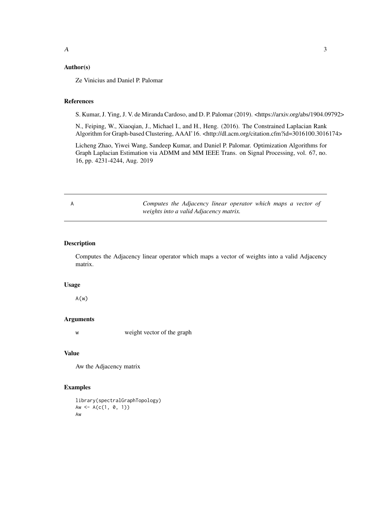#### <span id="page-2-0"></span>Author(s)

Ze Vinicius and Daniel P. Palomar

## References

S. Kumar, J. Ying, J. V. de Miranda Cardoso, and D. P. Palomar (2019). <https://arxiv.org/abs/1904.09792>

N., Feiping, W., Xiaoqian, J., Michael I., and H., Heng. (2016). The Constrained Laplacian Rank Algorithm for Graph-based Clustering, AAAI'16. <http://dl.acm.org/citation.cfm?id=3016100.3016174>

Licheng Zhao, Yiwei Wang, Sandeep Kumar, and Daniel P. Palomar. Optimization Algorithms for Graph Laplacian Estimation via ADMM and MM IEEE Trans. on Signal Processing, vol. 67, no. 16, pp. 4231-4244, Aug. 2019

<span id="page-2-1"></span>A *Computes the Adjacency linear operator which maps a vector of weights into a valid Adjacency matrix.*

# Description

Computes the Adjacency linear operator which maps a vector of weights into a valid Adjacency matrix.

#### Usage

 $A(w)$ 

#### Arguments

w weight vector of the graph

### Value

Aw the Adjacency matrix

#### Examples

library(spectralGraphTopology) Aw <-  $A(c(1, 0, 1))$ Aw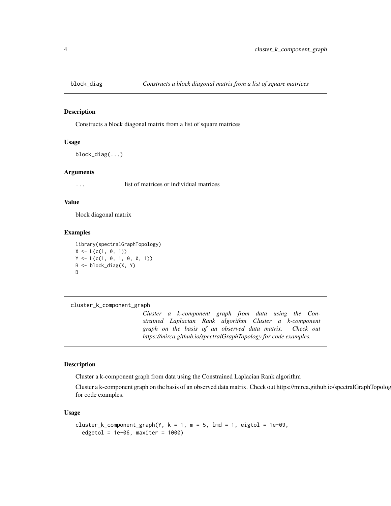<span id="page-3-0"></span>

# Description

Constructs a block diagonal matrix from a list of square matrices

#### Usage

block\_diag(...)

#### Arguments

... list of matrices or individual matrices

#### Value

block diagonal matrix

#### Examples

library(spectralGraphTopology)  $X \le L(c(1, 0, 1))$  $Y \leftarrow L(c(1, 0, 1, 0, 0, 1))$ B <- block\_diag(X, Y) B

```
cluster_k_component_graph
```
*Cluster a k-component graph from data using the Constrained Laplacian Rank algorithm Cluster a k-component graph on the basis of an observed data matrix. Check out https://mirca.github.io/spectralGraphTopology for code examples.*

#### Description

Cluster a k-component graph from data using the Constrained Laplacian Rank algorithm

Cluster a k-component graph on the basis of an observed data matrix. Check out https://mirca.github.io/spectralGraphTopology for code examples.

#### Usage

```
cluster_k_component_graph(Y, k = 1, m = 5, lmd = 1, eigtol = 1e-09,
  edgetol = 1e-06, maxiter = 1000)
```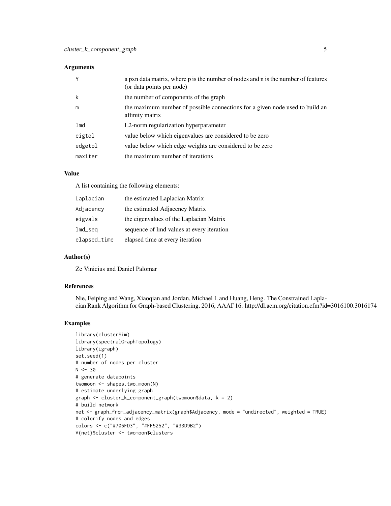#### Arguments

| Y       | a pxn data matrix, where p is the number of nodes and n is the number of features<br>(or data points per node) |
|---------|----------------------------------------------------------------------------------------------------------------|
| k       | the number of components of the graph                                                                          |
| m       | the maximum number of possible connections for a given node used to build an<br>affinity matrix                |
| lmd     | L2-norm regularization hyperparameter                                                                          |
| eigtol  | value below which eigenvalues are considered to be zero                                                        |
| edgetol | value below which edge weights are considered to be zero                                                       |
| maxiter | the maximum number of iterations                                                                               |

# Value

A list containing the following elements:

| Laplacian    | the estimated Laplacian Matrix            |
|--------------|-------------------------------------------|
| Adjacency    | the estimated Adjacency Matrix            |
| eigvals      | the eigenvalues of the Laplacian Matrix   |
| $lmd$ seq    | sequence of lmd values at every iteration |
| elapsed_time | elapsed time at every iteration           |

# Author(s)

Ze Vinicius and Daniel Palomar

#### References

Nie, Feiping and Wang, Xiaoqian and Jordan, Michael I. and Huang, Heng. The Constrained Laplacian Rank Algorithm for Graph-based Clustering, 2016, AAAI'16. http://dl.acm.org/citation.cfm?id=3016100.3016174

#### Examples

```
library(clusterSim)
library(spectralGraphTopology)
library(igraph)
set.seed(1)
# number of nodes per cluster
N < -30# generate datapoints
twomoon <- shapes.two.moon(N)
# estimate underlying graph
graph <- cluster_k_component_graph(twomoon$data, k = 2)
# build network
net <- graph_from_adjacency_matrix(graph$Adjacency, mode = "undirected", weighted = TRUE)
# colorify nodes and edges
colors <- c("#706FD3", "#FF5252", "#33D9B2")
V(net)$cluster <- twomoon$clusters
```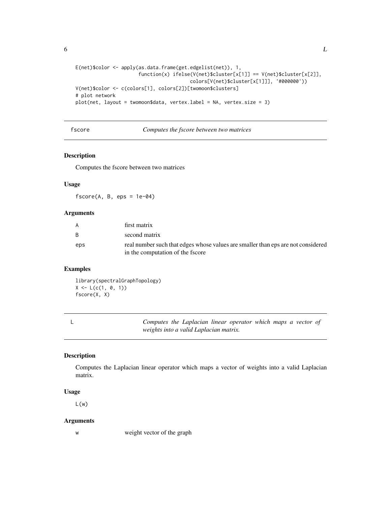```
E(net)$color <- apply(as.data.frame(get.edgelist(net)), 1,
                      function(x) ifelse(V(net)$cluster[x[1]] == V(net)$cluster[x[2]],
                                        colors[V(net)$cluster[x[1]]], '#000000'))
V(net)$color <- c(colors[1], colors[2])[twomoon$clusters]
# plot network
plot(net, layout = twomoon$data, vertex.label = NA, vertex.size = 3)
```
fscore *Computes the fscore between two matrices*

#### Description

Computes the fscore between two matrices

#### Usage

 $fscore(A, B,eps = 1e-04)$ 

#### Arguments

| A   | first matrix                                                                     |
|-----|----------------------------------------------------------------------------------|
| - B | second matrix                                                                    |
| eps | real number such that edges whose values are smaller than eps are not considered |
|     | in the computation of the fscore                                                 |

#### Examples

library(spectralGraphTopology)  $X \leftarrow L(c(1, 0, 1))$ fscore(X, X)

<span id="page-5-1"></span>

L *Computes the Laplacian linear operator which maps a vector of weights into a valid Laplacian matrix.*

# Description

Computes the Laplacian linear operator which maps a vector of weights into a valid Laplacian matrix.

#### Usage

 $L(w)$ 

#### Arguments

w weight vector of the graph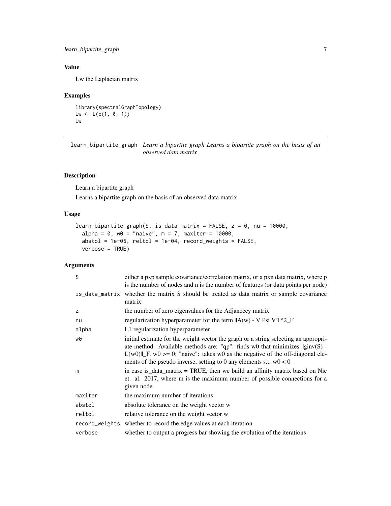# <span id="page-6-0"></span>learn\_bipartite\_graph 7

# Value

Lw the Laplacian matrix

# Examples

```
library(spectralGraphTopology)
Lw \leftarrow L(c(1, 0, 1))Lw
```
<span id="page-6-1"></span>learn\_bipartite\_graph *Learn a bipartite graph Learns a bipartite graph on the basis of an observed data matrix*

# Description

Learn a bipartite graph

Learns a bipartite graph on the basis of an observed data matrix

# Usage

```
learn_bipartite_graph(S, is_data_matrix = FALSE, z = 0, nu = 10000,
  alpha = 0, w0 = "naive", m = 7, maxiter = 10000,
  abstol = 1e-06, reltol = 1e-04, record\_weights = FALSE,
 verbose = TRUE)
```

| S              | either a pxp sample covariance/correlation matrix, or a pxn data matrix, where p<br>is the number of nodes and n is the number of features (or data points per node)                                                                                                                                                                              |
|----------------|---------------------------------------------------------------------------------------------------------------------------------------------------------------------------------------------------------------------------------------------------------------------------------------------------------------------------------------------------|
|                | is_data_matrix whether the matrix S should be treated as data matrix or sample covariance<br>matrix                                                                                                                                                                                                                                               |
| z              | the number of zero eigenvalues for the Adjancecy matrix                                                                                                                                                                                                                                                                                           |
| nu             | regularization hyperparameter for the term $\ A(w) - V\ $ Psi V' $\ A\ $                                                                                                                                                                                                                                                                          |
| alpha          | L1 regularization hyperparameter                                                                                                                                                                                                                                                                                                                  |
| w0             | initial estimate for the weight vector the graph or a string selecting an appropri-<br>ate method. Available methods are: "qp": finds $w0$ that minimizes $\text{Iginv}(S)$ -<br>$L(w0)\parallel F$ , w0 >= 0; "naive": takes w0 as the negative of the off-diagonal ele-<br>ments of the pseudo inverse, setting to 0 any elements s.t. $w0 < 0$ |
| m              | in case is $\Delta$ data matrix = TRUE, then we build an affinity matrix based on Nie<br>et. al. 2017, where m is the maximum number of possible connections for a<br>given node                                                                                                                                                                  |
| maxiter        | the maximum number of iterations                                                                                                                                                                                                                                                                                                                  |
| abstol         | absolute tolerance on the weight vector w                                                                                                                                                                                                                                                                                                         |
| reltol         | relative tolerance on the weight vector w                                                                                                                                                                                                                                                                                                         |
| record_weights | whether to record the edge values at each iteration                                                                                                                                                                                                                                                                                               |
| verbose        | whether to output a progress bar showing the evolution of the iterations                                                                                                                                                                                                                                                                          |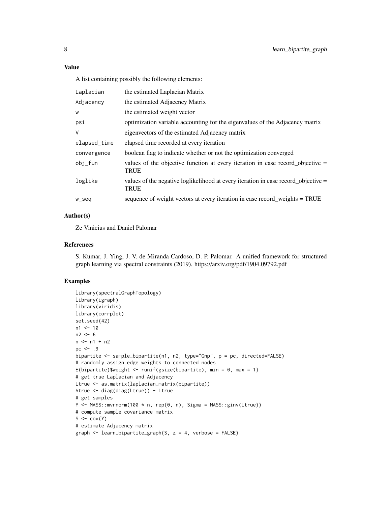# Value

A list containing possibly the following elements:

| Laplacian    | the estimated Laplacian Matrix                                                                    |
|--------------|---------------------------------------------------------------------------------------------------|
| Adjacency    | the estimated Adjacency Matrix                                                                    |
| W            | the estimated weight vector                                                                       |
| psi          | optimization variable accounting for the eigenvalues of the Adjacency matrix                      |
| V            | eigenvectors of the estimated Adjacency matrix                                                    |
| elapsed_time | elapsed time recorded at every iteration                                                          |
| convergence  | boolean flag to indicate whether or not the optimization converged                                |
| obi_fun      | values of the objective function at every iteration in case record_objective $=$<br><b>TRUE</b>   |
| loglike      | values of the negative loglikelihood at every iteration in case record_objective =<br><b>TRUE</b> |
| w_seq        | sequence of weight vectors at every iteration in case record_weights = TRUE                       |
|              |                                                                                                   |

# Author(s)

Ze Vinicius and Daniel Palomar

#### References

S. Kumar, J. Ying, J. V. de Miranda Cardoso, D. P. Palomar. A unified framework for structured graph learning via spectral constraints (2019). https://arxiv.org/pdf/1904.09792.pdf

#### Examples

```
library(spectralGraphTopology)
library(igraph)
library(viridis)
library(corrplot)
set.seed(42)
n1 < -10n2 < -6n < - n1 + n2pc < - .9bipartite <- sample_bipartite(n1, n2, type="Gnp", p = pc, directed=FALSE)
# randomly assign edge weights to connected nodes
E(bipartite)$weight <- runif(gsize(bipartite), min = 0, max = 1)
# get true Laplacian and Adjacency
Ltrue <- as.matrix(laplacian_matrix(bipartite))
Atrue <- diag(diag(Ltrue)) - Ltrue
# get samples
Y \leq - MASS::mvrnorm(100 * n, rep(0, n), Sigma = MASS::ginv(Ltrue))
# compute sample covariance matrix
S \leftarrow cov(Y)# estimate Adjacency matrix
graph <- learn_bipartite_graph(S, z = 4, verbose = FALSE)
```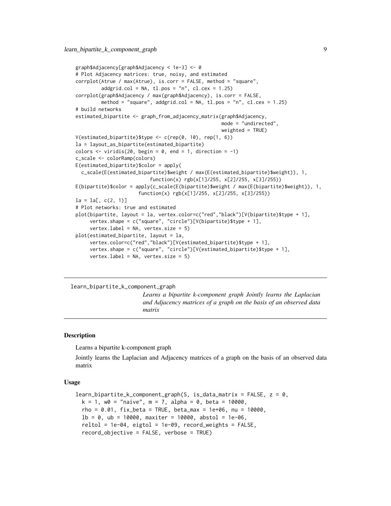```
graph$Adjacency[graph$Adjacency < 1e-3] <- 0
# Plot Adjacency matrices: true, noisy, and estimated
corrplot(Atrue / max(Atrue), is.corr = FALSE, method = "square",
         addgrid,col = NA, tl.pos = "n", cl.cex = 1.25)corrplot(graph$Adjacency / max(graph$Adjacency), is.corr = FALSE,
         method = "square", addgrid.col = NA, tl.pos = "n", cl.cex = 1.25)
# build networks
estimated_bipartite <- graph_from_adjacency_matrix(graph$Adjacency,
                                                   mode = "undirected",
                                                   weighted = TRUE)
V(estimated_bipartite)$type <- c(rep(0, 10), rep(1, 6))
la = layout_as_bipartite(estimated_bipartite)
colors \le viridis(20, begin = 0, end = 1, direction = -1)
c_scale <- colorRamp(colors)
E(estimated_bipartite)$color = apply(
  c_scale(E(estimated_bipartite)$weight / max(E(estimated_bipartite)$weight)), 1,
                          function(x) rgb(x[1]/255, x[2]/255, x[3]/255))
E(bipartite)$color = apply(c_scale(E(bipartite)$weight / max(E(bipartite)$weight)), 1,
                      function(x) rgb(x[1]/255, x[2]/255, x[3]/255))
la = la[, c(2, 1)]# Plot networks: true and estimated
plot(bipartite, layout = la, vertex.color=c("red","black")[V(bipartite)$type + 1],
     vertex.shape = c("square", "circle")[V(bipartite)$type + 1],
     vertex.label = NA, vertex.size = 5)
plot(estimated_bipartite, layout = la,
     vertex.color=c("red","black")[V(estimated_bipartite)$type + 1],
     vertex.shape = c("square", "circle")[V(estimated_bipartite)$type + 1],
     vertex.label = NA, vertex.size = 5)
```
<span id="page-8-1"></span>learn\_bipartite\_k\_component\_graph

*Learns a bipartite k-component graph Jointly learns the Laplacian and Adjacency matrices of a graph on the basis of an observed data matrix*

#### Description

Learns a bipartite k-component graph

Jointly learns the Laplacian and Adjacency matrices of a graph on the basis of an observed data matrix

#### Usage

```
learn_bipartite_k_component_graph(S, is_data_matrix = FALSE, z = 0,
 k = 1, w0 = "naive", m = 7, alpha = 0, beta = 10000,
  rho = 0.01, fix_{beta} = TRUE, beta_{max} = 1e+06, nu = 10000.
  1b = 0, ub = 10000, maxiter = 10000, abstol = 1e-06,
  reltol = 1e-04, eigtol = 1e-09, record_weights = FALSE,
  record_objective = FALSE, verbose = TRUE)
```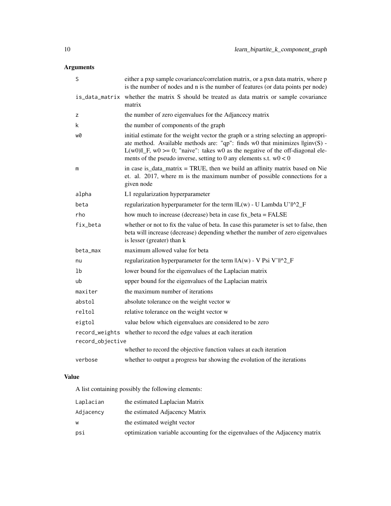# Arguments

| S                | either a pxp sample covariance/correlation matrix, or a pxn data matrix, where p<br>is the number of nodes and n is the number of features (or data points per node)                                                                                                                                                                        |  |
|------------------|---------------------------------------------------------------------------------------------------------------------------------------------------------------------------------------------------------------------------------------------------------------------------------------------------------------------------------------------|--|
|                  | is_data_matrix whether the matrix S should be treated as data matrix or sample covariance<br>matrix                                                                                                                                                                                                                                         |  |
| z                | the number of zero eigenvalues for the Adjancecy matrix                                                                                                                                                                                                                                                                                     |  |
| k                | the number of components of the graph                                                                                                                                                                                                                                                                                                       |  |
| w0               | initial estimate for the weight vector the graph or a string selecting an appropri-<br>ate method. Available methods are: "qp": finds $w0$ that minimizes $\text{Iginv}(S)$ -<br>$L(w0)$    F, w0 > = 0; "naive": takes w0 as the negative of the off-diagonal ele-<br>ments of the pseudo inverse, setting to 0 any elements s.t. $w0 < 0$ |  |
| m                | in case is_data_matrix = TRUE, then we build an affinity matrix based on Nie<br>et. al. 2017, where m is the maximum number of possible connections for a<br>given node                                                                                                                                                                     |  |
| alpha            | L1 regularization hyperparameter                                                                                                                                                                                                                                                                                                            |  |
| beta             | regularization hyperparameter for the term $\ L(w) - U$ Lambda U' $\ A2_F$                                                                                                                                                                                                                                                                  |  |
| rho              | how much to increase (decrease) beta in case fix beta = FALSE                                                                                                                                                                                                                                                                               |  |
| fix_beta         | whether or not to fix the value of beta. In case this parameter is set to false, then<br>beta will increase (decrease) depending whether the number of zero eigenvalues<br>is lesser (greater) than k                                                                                                                                       |  |
| beta_max         | maximum allowed value for beta                                                                                                                                                                                                                                                                                                              |  |
| nu               | regularization hyperparameter for the term $\ A(w) - V\ $ Psi V' $\ A\ $ <sup>2</sup> _F                                                                                                                                                                                                                                                    |  |
| 1b               | lower bound for the eigenvalues of the Laplacian matrix                                                                                                                                                                                                                                                                                     |  |
| ub               | upper bound for the eigenvalues of the Laplacian matrix                                                                                                                                                                                                                                                                                     |  |
| maxiter          | the maximum number of iterations                                                                                                                                                                                                                                                                                                            |  |
| abstol           | absolute tolerance on the weight vector w                                                                                                                                                                                                                                                                                                   |  |
| reltol           | relative tolerance on the weight vector w                                                                                                                                                                                                                                                                                                   |  |
| eigtol           | value below which eigenvalues are considered to be zero                                                                                                                                                                                                                                                                                     |  |
|                  | record_weights whether to record the edge values at each iteration                                                                                                                                                                                                                                                                          |  |
| record_objective |                                                                                                                                                                                                                                                                                                                                             |  |
|                  | whether to record the objective function values at each iteration                                                                                                                                                                                                                                                                           |  |
| verbose          | whether to output a progress bar showing the evolution of the iterations                                                                                                                                                                                                                                                                    |  |

# Value

A list containing possibly the following elements:

| Laplacian | the estimated Laplacian Matrix                                               |
|-----------|------------------------------------------------------------------------------|
| Adjacencv | the estimated Adjacency Matrix                                               |
| w         | the estimated weight vector                                                  |
| psi       | optimization variable accounting for the eigenvalues of the Adjacency matrix |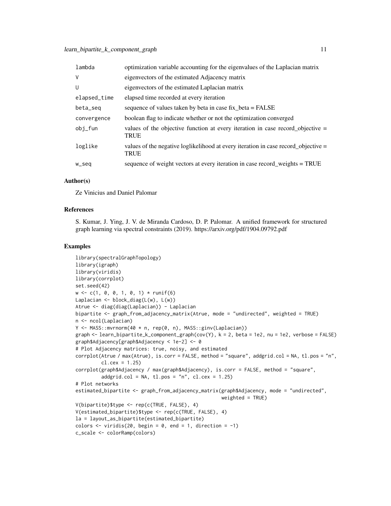| lambda       | optimization variable accounting for the eigenvalues of the Laplacian matrix                      |
|--------------|---------------------------------------------------------------------------------------------------|
| $\vee$       | eigenvectors of the estimated Adjacency matrix                                                    |
| U            | eigenvectors of the estimated Laplacian matrix                                                    |
| elapsed_time | elapsed time recorded at every iteration                                                          |
| beta_seg     | sequence of values taken by beta in case fix_beta = FALSE                                         |
| convergence  | boolean flag to indicate whether or not the optimization converged                                |
| obi_fun      | values of the objective function at every iteration in case record objective $=$<br><b>TRUE</b>   |
| loglike      | values of the negative loglikelihood at every iteration in case record_objective =<br><b>TRUE</b> |
| w_seq        | sequence of weight vectors at every iteration in case record_weights = TRUE                       |

#### Author(s)

Ze Vinicius and Daniel Palomar

#### References

S. Kumar, J. Ying, J. V. de Miranda Cardoso, D. P. Palomar. A unified framework for structured graph learning via spectral constraints (2019). https://arxiv.org/pdf/1904.09792.pdf

#### Examples

```
library(spectralGraphTopology)
library(igraph)
library(viridis)
library(corrplot)
set.seed(42)
w \leftarrow c(1, 0, 0, 1, 0, 1) * runif(6)Laplacian <- block_diag(L(w), L(w))
Atrue <- diag(diag(Laplacian)) - Laplacian
bipartite <- graph_from_adjacency_matrix(Atrue, mode = "undirected", weighted = TRUE)
n <- ncol(Laplacian)
Y <- MASS::mvrnorm(40 * n, rep(0, n), MASS::ginv(Laplacian))
graph <- learn_bipartite_k_component_graph(cov(Y), k = 2, beta = 1e2, nu = 1e2, verbose = FALSE)
graph$Adjacency[graph$Adjacency < 1e-2] <- 0
# Plot Adjacency matrices: true, noisy, and estimated
corrplot(Atrue / max(Atrue), is.corr = FALSE, method = "square", addgrid.col = NA, tl.pos = "n",
         cl.cex = 1.25)
corrplot(graph$Adjacency / max(graph$Adjacency), is.corr = FALSE, method = "square",
         addgrid,col = NA, tl.pos = "n", cl.cex = 1.25)# Plot networks
estimated_bipartite <- graph_from_adjacency_matrix(graph$Adjacency, mode = "undirected",
                                                    weighted = TRUE)
V(bipartite)$type <- rep(c(TRUE, FALSE), 4)
V(estimated_bipartite)$type <- rep(c(TRUE, FALSE), 4)
la = layout_as_bipartite(estimated_bipartite)
colors \le viridis(20, begin = 0, end = 1, direction = -1)
c_scale <- colorRamp(colors)
```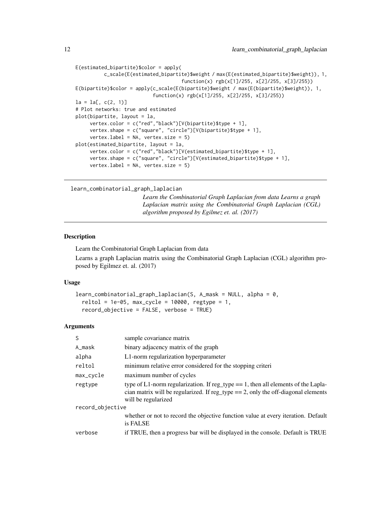```
E(estimated_bipartite)$color = apply(
          c_scale(E(estimated_bipartite)$weight / max(E(estimated_bipartite)$weight)), 1,
                                     function(x) rgb(x[1]/255, x[2]/255, x[3]/255))
E(bipartite)$color = apply(c_scale(E(bipartite)$weight / max(E(bipartite)$weight)), 1,
                           function(x) rgb(x[1]/255, x[2]/255, x[3]/255))
la = la[, c(2, 1)]# Plot networks: true and estimated
plot(bipartite, layout = la,
     vertex.color = c("red","black")[V(bipartite)$type + 1],
     vertex.shape = c("square", "circle")[V(bipartite)$type + 1],
     vertex.label = NA, vertex.size = 5)
plot(estimated_bipartite, layout = la,
     vertex.color = c("red","black")[V(estimated_bipartite)$type + 1],
     vertex.shape = c("square", "circle")[V(estimated_bipartite)$type + 1],
     vertex.label = NA, vertex.size = 5)
```

```
learn_combinatorial_graph_laplacian
```
*Learn the Combinatorial Graph Laplacian from data Learns a graph Laplacian matrix using the Combinatorial Graph Laplacian (CGL) algorithm proposed by Egilmez et. al. (2017)*

# **Description**

Learn the Combinatorial Graph Laplacian from data

Learns a graph Laplacian matrix using the Combinatorial Graph Laplacian (CGL) algorithm proposed by Egilmez et. al. (2017)

#### Usage

```
learn_combinatorial_graph_laplacian(S, A_mask = NULL, alpha = 0,
  reltol = 1e-05, max_cycle = 10000, regtype = 1,
  record_objective = FALSE, verbose = TRUE)
```

| S                | sample covariance matrix                                                                                                                                                                            |  |
|------------------|-----------------------------------------------------------------------------------------------------------------------------------------------------------------------------------------------------|--|
| A_mask           | binary adjacency matrix of the graph                                                                                                                                                                |  |
| alpha            | L1-norm regularization hyperparameter                                                                                                                                                               |  |
| reltol           | minimum relative error considered for the stopping criteri                                                                                                                                          |  |
| max_cycle        | maximum number of cycles                                                                                                                                                                            |  |
| regtype          | type of L1-norm regularization. If reg_type $== 1$ , then all elements of the Lapla-<br>cian matrix will be regularized. If reg_type $== 2$ , only the off-diagonal elements<br>will be regularized |  |
| record_objective |                                                                                                                                                                                                     |  |
|                  | whether or not to record the objective function value at every iteration. Default<br>is FALSE                                                                                                       |  |
| verbose          | if TRUE, then a progress bar will be displayed in the console. Default is TRUE                                                                                                                      |  |
|                  |                                                                                                                                                                                                     |  |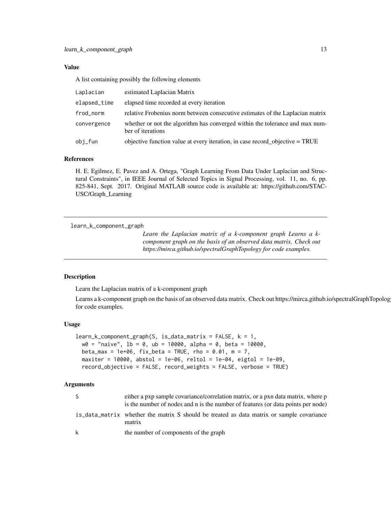#### <span id="page-12-0"></span>Value

A list containing possibly the following elements

| Laplacian    | estimated Laplacian Matrix                                                                        |
|--------------|---------------------------------------------------------------------------------------------------|
| elapsed_time | elapsed time recorded at every iteration                                                          |
| frod_norm    | relative Frobenius norm between consecutive estimates of the Laplacian matrix                     |
| convergence  | whether or not the algorithm has converged within the tolerance and max num-<br>ber of iterations |
| obi_fun      | objective function value at every iteration, in case record objective = TRUE                      |

#### References

H. E. Egilmez, E. Pavez and A. Ortega, "Graph Learning From Data Under Laplacian and Structural Constraints", in IEEE Journal of Selected Topics in Signal Processing, vol. 11, no. 6, pp. 825-841, Sept. 2017. Original MATLAB source code is available at: https://github.com/STAC-USC/Graph\_Learning

<span id="page-12-1"></span>learn\_k\_component\_graph

*Learn the Laplacian matrix of a k-component graph Learns a kcomponent graph on the basis of an observed data matrix. Check out https://mirca.github.io/spectralGraphTopology for code examples.*

#### Description

Learn the Laplacian matrix of a k-component graph

Learns a k-component graph on the basis of an observed data matrix. Check out https://mirca.github.io/spectralGraphTopology for code examples.

#### Usage

```
learn_k_{component\_graph}(S, is_data_matrix = FALSE, k = 1,w0 = "naive", lb = 0, ub = 10000, alpha = 0, beta = 10000,
 beta_max = 1e+06, fix_beta = TRUE, rho = 0.01, m = 7,
 maxiter = 10000, abstol = 1e-06, reltol = 1e-04, eigtol = 1e-09,
 record_objective = FALSE, record_weights = FALSE, verbose = TRUE)
```

| -S | either a pxp sample covariance/correlation matrix, or a pxn data matrix, where p<br>is the number of nodes and n is the number of features (or data points per node) |
|----|----------------------------------------------------------------------------------------------------------------------------------------------------------------------|
|    | is data matrix whether the matrix S should be treated as data matrix or sample covariance<br>matrix                                                                  |
| k  | the number of components of the graph                                                                                                                                |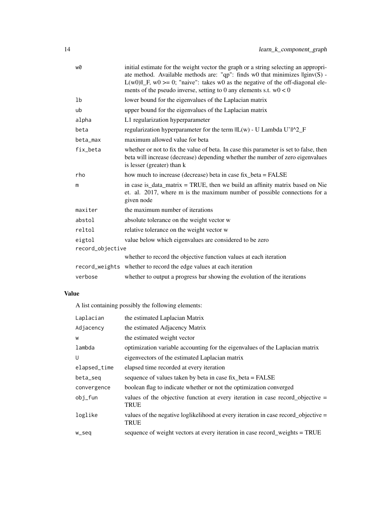| w0               | initial estimate for the weight vector the graph or a string selecting an appropri-<br>ate method. Available methods are: "qp": finds w0 that minimizes $\text{Iginv}(S)$ -<br>$L(w0)$    F, w0 > = 0; "naive": takes w0 as the negative of the off-diagonal ele-<br>ments of the pseudo inverse, setting to 0 any elements s.t. $w0 < 0$ |  |
|------------------|-------------------------------------------------------------------------------------------------------------------------------------------------------------------------------------------------------------------------------------------------------------------------------------------------------------------------------------------|--|
| 1b               | lower bound for the eigenvalues of the Laplacian matrix                                                                                                                                                                                                                                                                                   |  |
| ub               | upper bound for the eigenvalues of the Laplacian matrix                                                                                                                                                                                                                                                                                   |  |
| alpha            | L1 regularization hyperparameter                                                                                                                                                                                                                                                                                                          |  |
| beta             | regularization hyperparameter for the term $\ L(w) - U$ Lambda U' $\ A2_F$                                                                                                                                                                                                                                                                |  |
| beta_max         | maximum allowed value for beta                                                                                                                                                                                                                                                                                                            |  |
| fix_beta         | whether or not to fix the value of beta. In case this parameter is set to false, then<br>beta will increase (decrease) depending whether the number of zero eigenvalues<br>is lesser (greater) than k                                                                                                                                     |  |
| rho              | how much to increase (decrease) beta in case fix_beta = FALSE                                                                                                                                                                                                                                                                             |  |
| m                | in case is $\Delta$ data matrix = TRUE, then we build an affinity matrix based on Nie<br>et. al. 2017, where m is the maximum number of possible connections for a<br>given node                                                                                                                                                          |  |
| maxiter          | the maximum number of iterations                                                                                                                                                                                                                                                                                                          |  |
| abstol           | absolute tolerance on the weight vector w                                                                                                                                                                                                                                                                                                 |  |
| reltol           | relative tolerance on the weight vector w                                                                                                                                                                                                                                                                                                 |  |
| eigtol           | value below which eigenvalues are considered to be zero                                                                                                                                                                                                                                                                                   |  |
| record_objective |                                                                                                                                                                                                                                                                                                                                           |  |
|                  | whether to record the objective function values at each iteration                                                                                                                                                                                                                                                                         |  |
|                  | record_weights whether to record the edge values at each iteration                                                                                                                                                                                                                                                                        |  |
| verbose          | whether to output a progress bar showing the evolution of the iterations                                                                                                                                                                                                                                                                  |  |

# Value

A list containing possibly the following elements:

| Laplacian    | the estimated Laplacian Matrix                                                                  |  |
|--------------|-------------------------------------------------------------------------------------------------|--|
| Adjacency    | the estimated Adjacency Matrix                                                                  |  |
| W            | the estimated weight vector                                                                     |  |
| lambda       | optimization variable accounting for the eigenvalues of the Laplacian matrix                    |  |
| U            | eigenvectors of the estimated Laplacian matrix                                                  |  |
| elapsed_time | elapsed time recorded at every iteration                                                        |  |
| beta_seq     | sequence of values taken by beta in case fix_beta = FALSE                                       |  |
| convergence  | boolean flag to indicate whether or not the optimization converged                              |  |
| obj_fun      | values of the objective function at every iteration in case record objective $=$<br><b>TRUE</b> |  |
| loglike      | values of the negative loglikelihood at every iteration in case record_objective =<br>TRUE      |  |
| w_seq        | sequence of weight vectors at every iteration in case record_weights = TRUE                     |  |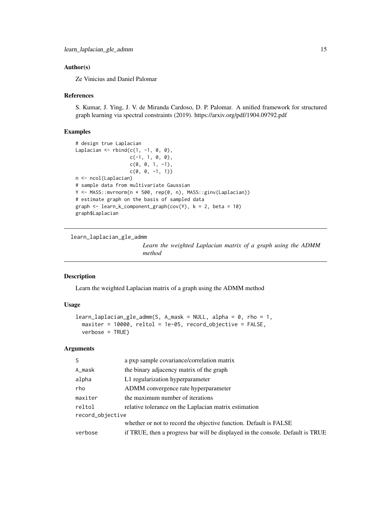#### <span id="page-14-0"></span>Author(s)

Ze Vinicius and Daniel Palomar

#### References

S. Kumar, J. Ying, J. V. de Miranda Cardoso, D. P. Palomar. A unified framework for structured graph learning via spectral constraints (2019). https://arxiv.org/pdf/1904.09792.pdf

#### Examples

```
# design true Laplacian
Laplacian \leq rbind(c(1, -1, 0, 0),
                    c(-1, 1, 0, 0),
                     c(\emptyset, \emptyset, 1, -1),
                     c(\emptyset, \emptyset, -1, 1)n <- ncol(Laplacian)
# sample data from multivariate Gaussian
Y <- MASS::mvrnorm(n * 500, rep(0, n), MASS::ginv(Laplacian))
# estimate graph on the basis of sampled data
graph \leq learn_k_component_graph(cov(Y), k = 2, beta = 10)
graph$Laplacian
```
<span id="page-14-1"></span>learn\_laplacian\_gle\_admm

*Learn the weighted Laplacian matrix of a graph using the ADMM method*

#### Description

Learn the weighted Laplacian matrix of a graph using the ADMM method

#### Usage

```
learn\_laplacian_gle\_admm(S, A\_mask = NULL, alpha = 0, rho = 1,maxiter = 10000, reltol = 1e-05, record_objective = FALSE,
 verbose = TRUE)
```

| S                | a pxp sample covariance/correlation matrix                                     |  |
|------------------|--------------------------------------------------------------------------------|--|
| A_mask           | the binary adjacency matrix of the graph                                       |  |
| alpha            | L1 regularization hyperparameter                                               |  |
| rho              | ADMM convergence rate hyperparameter                                           |  |
| maxiter          | the maximum number of iterations                                               |  |
| reltol           | relative tolerance on the Laplacian matrix estimation                          |  |
| record_objective |                                                                                |  |
|                  | whether or not to record the objective function. Default is FALSE              |  |
| verbose          | if TRUE, then a progress bar will be displayed in the console. Default is TRUE |  |
|                  |                                                                                |  |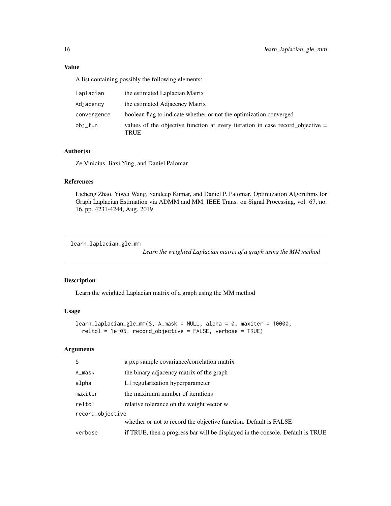A list containing possibly the following elements:

| Laplacian   | the estimated Laplacian Matrix                                                           |
|-------------|------------------------------------------------------------------------------------------|
| Adjacency   | the estimated Adjacency Matrix                                                           |
| convergence | boolean flag to indicate whether or not the optimization converged                       |
| obi_fun     | values of the objective function at every iteration in case record objective $=$<br>TRUE |

### Author(s)

Ze Vinicius, Jiaxi Ying, and Daniel Palomar

#### References

Licheng Zhao, Yiwei Wang, Sandeep Kumar, and Daniel P. Palomar. Optimization Algorithms for Graph Laplacian Estimation via ADMM and MM. IEEE Trans. on Signal Processing, vol. 67, no. 16, pp. 4231-4244, Aug. 2019

<span id="page-15-1"></span>learn\_laplacian\_gle\_mm

*Learn the weighted Laplacian matrix of a graph using the MM method*

# Description

Learn the weighted Laplacian matrix of a graph using the MM method

#### Usage

```
learn_laplacian_gle_mm(S, A_mask = NULL, alpha = 0, maxiter = 10000,
 reltol = 1e-05, record_objective = FALSE, verbose = TRUE)
```

| S                | a pxp sample covariance/correlation matrix                                     |  |
|------------------|--------------------------------------------------------------------------------|--|
| A_mask           | the binary adjacency matrix of the graph                                       |  |
| alpha            | L1 regularization hyperparameter                                               |  |
| maxiter          | the maximum number of iterations                                               |  |
| reltol           | relative tolerance on the weight vector w                                      |  |
| record_objective |                                                                                |  |
|                  | whether or not to record the objective function. Default is FALSE              |  |
| verbose          | if TRUE, then a progress bar will be displayed in the console. Default is TRUE |  |

<span id="page-15-0"></span>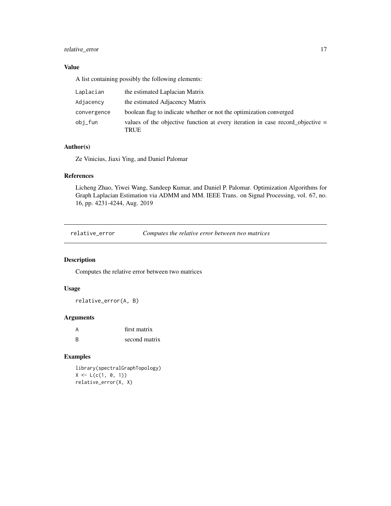# <span id="page-16-0"></span>relative\_error 17

# Value

A list containing possibly the following elements:

| Laplacian   | the estimated Laplacian Matrix                                                           |
|-------------|------------------------------------------------------------------------------------------|
| Adjacency   | the estimated Adjacency Matrix                                                           |
| convergence | boolean flag to indicate whether or not the optimization converged                       |
| obi_fun     | values of the objective function at every iteration in case record objective $=$<br>TRUE |

# Author(s)

Ze Vinicius, Jiaxi Ying, and Daniel Palomar

#### References

Licheng Zhao, Yiwei Wang, Sandeep Kumar, and Daniel P. Palomar. Optimization Algorithms for Graph Laplacian Estimation via ADMM and MM. IEEE Trans. on Signal Processing, vol. 67, no. 16, pp. 4231-4244, Aug. 2019

relative\_error *Computes the relative error between two matrices*

# Description

Computes the relative error between two matrices

# Usage

relative\_error(A, B)

#### Arguments

|   | first matrix  |
|---|---------------|
| R | second matrix |

# Examples

library(spectralGraphTopology)  $X \leftarrow L(c(1, 0, 1))$ relative\_error(X, X)